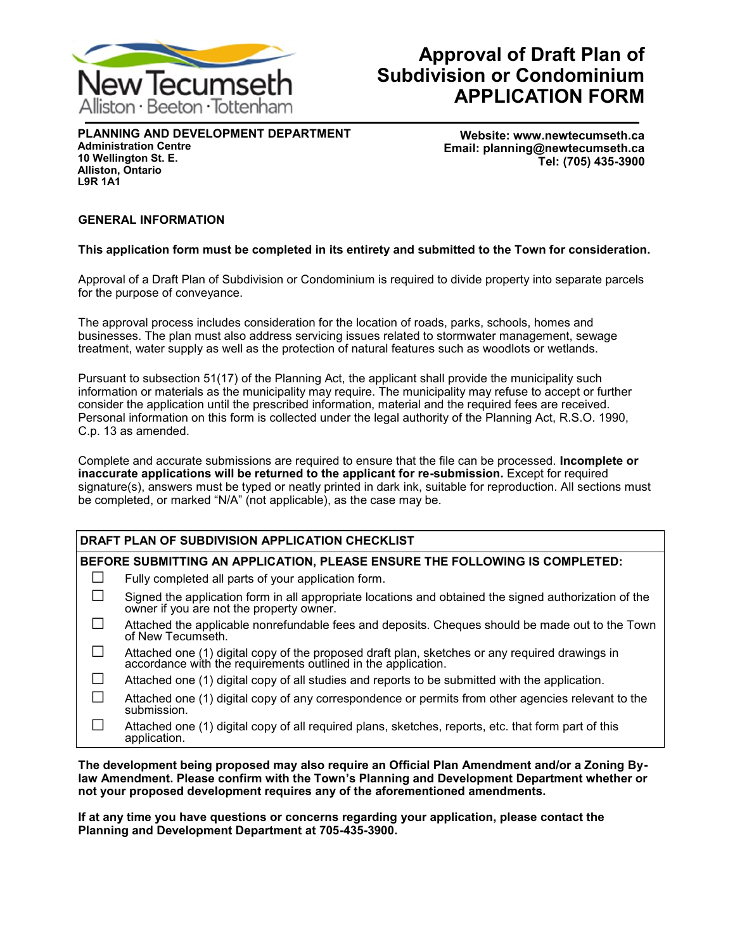

# **Approval of Draft Plan of Subdivision or Condominium APPLICATION FORM**

**PLANNING AND DEVELOPMENT DEPARTMENT Administration Centre 10 Wellington St. E. Alliston, Ontario L9R 1A1**

**Website: www.newtecumseth.ca Email: planning@newtecumseth.ca Tel: (705) 435-3900** 

### **GENERAL INFORMATION**

### **This application form must be completed in its entirety and submitted to the Town for consideration.**

Approval of a Draft Plan of Subdivision or Condominium is required to divide property into separate parcels for the purpose of conveyance.

The approval process includes consideration for the location of roads, parks, schools, homes and businesses. The plan must also address servicing issues related to stormwater management, sewage treatment, water supply as well as the protection of natural features such as woodlots or wetlands.

Pursuant to subsection 51(17) of the Planning Act, the applicant shall provide the municipality such information or materials as the municipality may require. The municipality may refuse to accept or further consider the application until the prescribed information, material and the required fees are received. Personal information on this form is collected under the legal authority of the Planning Act, R.S.O. 1990, C.p. 13 as amended.

Complete and accurate submissions are required to ensure that the file can be processed. **Incomplete or inaccurate applications will be returned to the applicant for re-submission.** Except for required signature(s), answers must be typed or neatly printed in dark ink, suitable for reproduction. All sections must be completed, or marked "N/A" (not applicable), as the case may be.

### **DRAFT PLAN OF SUBDIVISION APPLICATION CHECKLIST**

### **BEFORE SUBMITTING AN APPLICATION, PLEASE ENSURE THE FOLLOWING IS COMPLETED:**

- $\Box$  Fully completed all parts of your application form.
- $\square$  Signed the application form in all appropriate locations and obtained the signed authorization of the owner if you are not the property owner.
- □ Attached the applicable nonrefundable fees and deposits. Cheques should be made out to the Town of New Tecumseth.
- $\square$  Attached one (1) digital copy of the proposed draft plan, sketches or any required drawings in accordance with the requirements outlined in the application.
- $\Box$  Attached one (1) digital copy of all studies and reports to be submitted with the application.
- $\square$  Attached one (1) digital copy of any correspondence or permits from other agencies relevant to the submission.
- $\Box$  Attached one (1) digital copy of all required plans, sketches, reports, etc. that form part of this application.

**The development being proposed may also require an Official Plan Amendment and/or a Zoning Bylaw Amendment. Please confirm with the Town's Planning and Development Department whether or not your proposed development requires any of the aforementioned amendments.**

**If at any time you have questions or concerns regarding your application, please contact the Planning and Development Department at 705-435-3900.**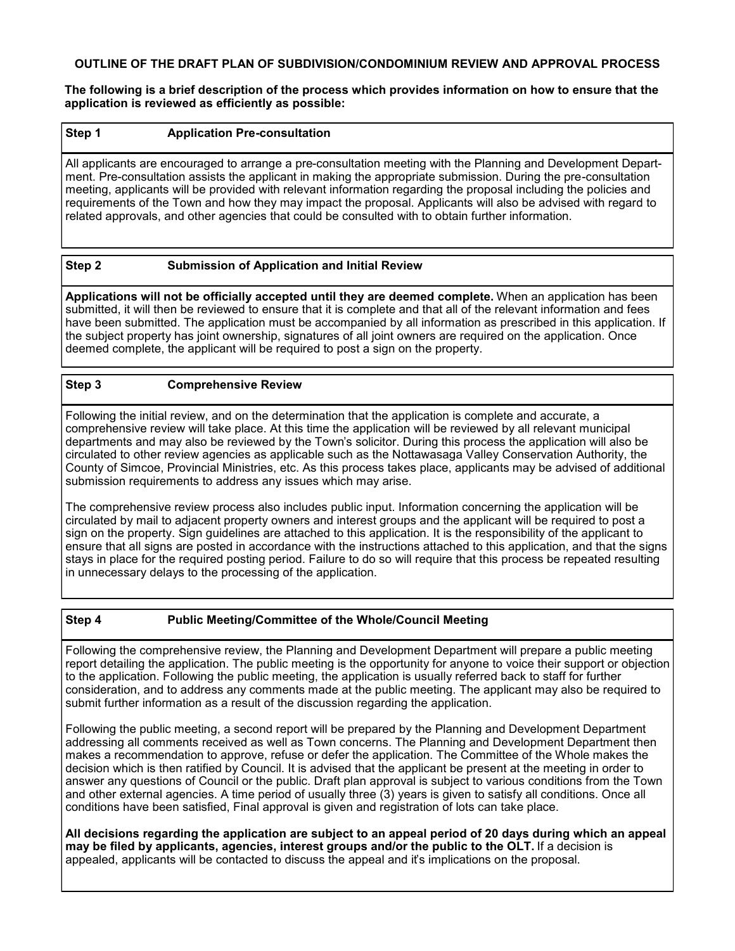### **OUTLINE OF THE DRAFT PLAN OF SUBDIVISION/CONDOMINIUM REVIEW AND APPROVAL PROCESS**

**The following is a brief description of the process which provides information on how to ensure that the application is reviewed as efficiently as possible:**

### **Step 1 Application Pre-consultation**

All applicants are encouraged to arrange a pre-consultation meeting with the Planning and Development Department. Pre-consultation assists the applicant in making the appropriate submission. During the pre-consultation meeting, applicants will be provided with relevant information regarding the proposal including the policies and requirements of the Town and how they may impact the proposal. Applicants will also be advised with regard to related approvals, and other agencies that could be consulted with to obtain further information.

### **Step 2 Submission of Application and Initial Review**

**Applications will not be officially accepted until they are deemed complete.** When an application has been submitted, it will then be reviewed to ensure that it is complete and that all of the relevant information and fees have been submitted. The application must be accompanied by all information as prescribed in this application. If the subject property has joint ownership, signatures of all joint owners are required on the application. Once deemed complete, the applicant will be required to post a sign on the property.

### **Step 3 Comprehensive Review**

Following the initial review, and on the determination that the application is complete and accurate, a comprehensive review will take place. At this time the application will be reviewed by all relevant municipal departments and may also be reviewed by the Town's solicitor. During this process the application will also be circulated to other review agencies as applicable such as the Nottawasaga Valley Conservation Authority, the County of Simcoe, Provincial Ministries, etc. As this process takes place, applicants may be advised of additional submission requirements to address any issues which may arise.

The comprehensive review process also includes public input. Information concerning the application will be circulated by mail to adjacent property owners and interest groups and the applicant will be required to post a sign on the property. Sign guidelines are attached to this application. It is the responsibility of the applicant to ensure that all signs are posted in accordance with the instructions attached to this application, and that the signs stays in place for the required posting period. Failure to do so will require that this process be repeated resulting in unnecessary delays to the processing of the application.

### **Step 4 Public Meeting/Committee of the Whole/Council Meeting**

Following the comprehensive review, the Planning and Development Department will prepare a public meeting report detailing the application. The public meeting is the opportunity for anyone to voice their support or objection to the application. Following the public meeting, the application is usually referred back to staff for further consideration, and to address any comments made at the public meeting. The applicant may also be required to submit further information as a result of the discussion regarding the application.

Following the public meeting, a second report will be prepared by the Planning and Development Department addressing all comments received as well as Town concerns. The Planning and Development Department then makes a recommendation to approve, refuse or defer the application. The Committee of the Whole makes the decision which is then ratified by Council. It is advised that the applicant be present at the meeting in order to answer any questions of Council or the public. Draft plan approval is subject to various conditions from the Town and other external agencies. A time period of usually three (3) years is given to satisfy all conditions. Once all conditions have been satisfied, Final approval is given and registration of lots can take place.

**All decisions regarding the application are subject to an appeal period of 20 days during which an appeal may be filed by applicants, agencies, interest groups and/or the public to the OLT.** If a decision is appealed, applicants will be contacted to discuss the appeal and it's implications on the proposal.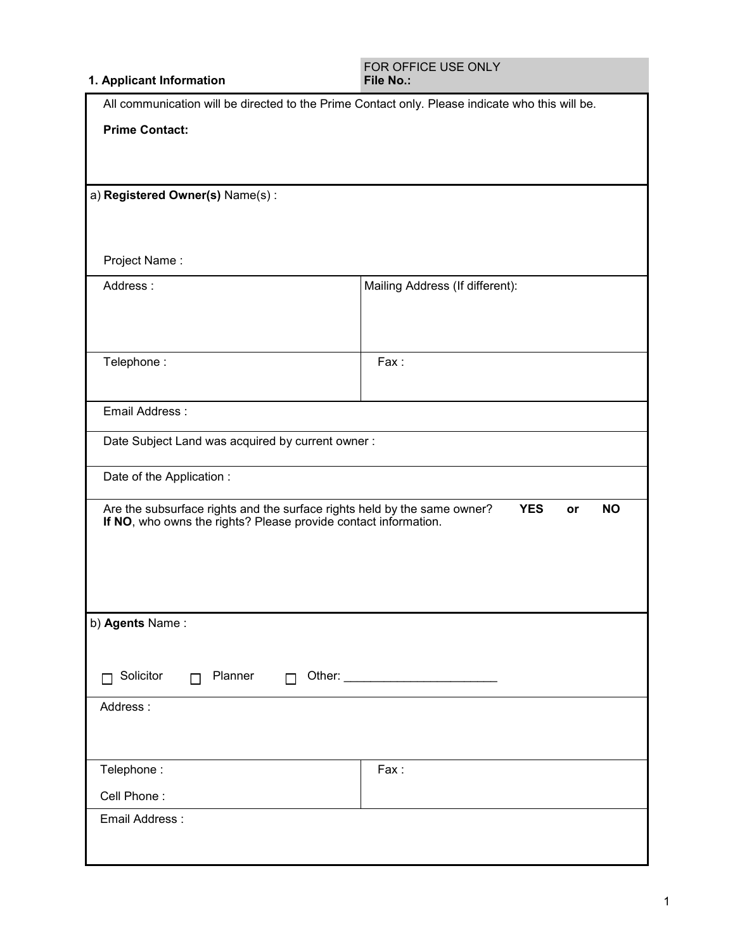### **1. Applicant Information**

| All communication will be directed to the Prime Contact only. Please indicate who this will be.                                             |                                 |  |
|---------------------------------------------------------------------------------------------------------------------------------------------|---------------------------------|--|
| <b>Prime Contact:</b>                                                                                                                       |                                 |  |
|                                                                                                                                             |                                 |  |
|                                                                                                                                             |                                 |  |
| a) Registered Owner(s) Name(s):                                                                                                             |                                 |  |
|                                                                                                                                             |                                 |  |
| Project Name:                                                                                                                               |                                 |  |
| Address:                                                                                                                                    | Mailing Address (If different): |  |
|                                                                                                                                             |                                 |  |
|                                                                                                                                             |                                 |  |
| Telephone:                                                                                                                                  | Fax:                            |  |
|                                                                                                                                             |                                 |  |
| Email Address:                                                                                                                              |                                 |  |
| Date Subject Land was acquired by current owner:                                                                                            |                                 |  |
|                                                                                                                                             |                                 |  |
| Date of the Application :                                                                                                                   |                                 |  |
| Are the subsurface rights and the surface rights held by the same owner?<br>If NO, who owns the rights? Please provide contact information. | <b>YES</b><br><b>NO</b><br>or   |  |
|                                                                                                                                             |                                 |  |
|                                                                                                                                             |                                 |  |
|                                                                                                                                             |                                 |  |
| b) Agents Name:                                                                                                                             |                                 |  |
|                                                                                                                                             |                                 |  |
| Solicitor<br>Planner<br>$\Box$<br>$\Box$                                                                                                    |                                 |  |
|                                                                                                                                             |                                 |  |
| Address:                                                                                                                                    |                                 |  |
|                                                                                                                                             |                                 |  |
| Telephone:                                                                                                                                  | Fax:                            |  |
| Cell Phone:                                                                                                                                 |                                 |  |
| Email Address:                                                                                                                              |                                 |  |
|                                                                                                                                             |                                 |  |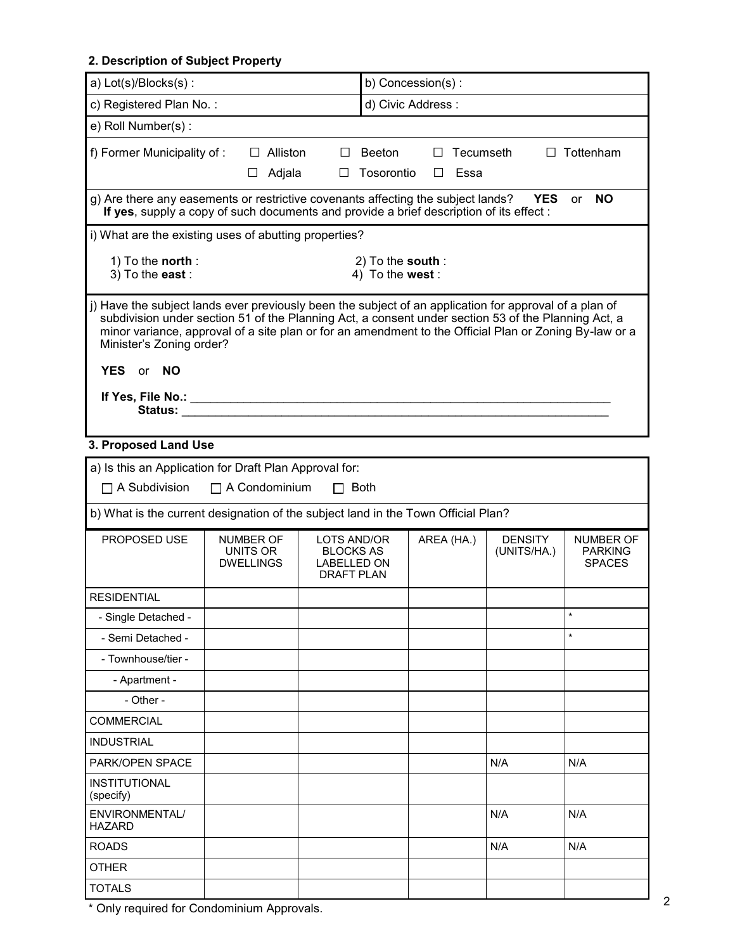# **2. Description of Subject Property**

| a) Lot(s)/Blocks(s):                                                                                                                                                                                                                                                                                                                                |                                                  |                 |                                                                     | b) Concession(s):                   |            |           |                               |                                              |
|-----------------------------------------------------------------------------------------------------------------------------------------------------------------------------------------------------------------------------------------------------------------------------------------------------------------------------------------------------|--------------------------------------------------|-----------------|---------------------------------------------------------------------|-------------------------------------|------------|-----------|-------------------------------|----------------------------------------------|
| c) Registered Plan No.:<br>d) Civic Address:                                                                                                                                                                                                                                                                                                        |                                                  |                 |                                                                     |                                     |            |           |                               |                                              |
| e) Roll Number(s):                                                                                                                                                                                                                                                                                                                                  |                                                  |                 |                                                                     |                                     |            |           |                               |                                              |
| f) Former Municipality of:                                                                                                                                                                                                                                                                                                                          |                                                  | $\Box$ Alliston | <b>College</b>                                                      | Beeton                              | $\Box$     | Tecumseth |                               | $\Box$ Tottenham                             |
|                                                                                                                                                                                                                                                                                                                                                     |                                                  | $\Box$ Adjala   | $\Box$                                                              | Tosorontio                          | $\Box$     | Essa      |                               |                                              |
| g) Are there any easements or restrictive covenants affecting the subject lands?<br>If yes, supply a copy of such documents and provide a brief description of its effect:                                                                                                                                                                          |                                                  |                 |                                                                     |                                     |            |           | <b>YES</b>                    | <b>NO</b><br>or                              |
| i) What are the existing uses of abutting properties?                                                                                                                                                                                                                                                                                               |                                                  |                 |                                                                     |                                     |            |           |                               |                                              |
| 1) To the <b>north</b> :<br>3) To the east:                                                                                                                                                                                                                                                                                                         |                                                  |                 |                                                                     | 2) To the south:<br>4) To the west: |            |           |                               |                                              |
| j) Have the subject lands ever previously been the subject of an application for approval of a plan of<br>subdivision under section 51 of the Planning Act, a consent under section 53 of the Planning Act, a<br>minor variance, approval of a site plan or for an amendment to the Official Plan or Zoning By-law or a<br>Minister's Zoning order? |                                                  |                 |                                                                     |                                     |            |           |                               |                                              |
| <b>YES</b><br><b>NO</b><br><b>or</b>                                                                                                                                                                                                                                                                                                                |                                                  |                 |                                                                     |                                     |            |           |                               |                                              |
| If Yes, File No.: ____________________________<br>Status: when the status of the status of the status of the status of the status of the status of the status of the status of the status of the status of the status of the status of the status of the status of the status of                                                                    |                                                  |                 |                                                                     |                                     |            |           |                               |                                              |
| 3. Proposed Land Use                                                                                                                                                                                                                                                                                                                                |                                                  |                 |                                                                     |                                     |            |           |                               |                                              |
| a) Is this an Application for Draft Plan Approval for:                                                                                                                                                                                                                                                                                              |                                                  |                 |                                                                     |                                     |            |           |                               |                                              |
| $\Box$ A Subdivision                                                                                                                                                                                                                                                                                                                                | $\Box$ A Condominium                             |                 |                                                                     | <b>Both</b>                         |            |           |                               |                                              |
| b) What is the current designation of the subject land in the Town Official Plan?                                                                                                                                                                                                                                                                   |                                                  |                 |                                                                     |                                     |            |           |                               |                                              |
| <b>PROPOSED USE</b>                                                                                                                                                                                                                                                                                                                                 | <b>NUMBER OF</b><br>UNITS OR<br><b>DWELLINGS</b> |                 | LOTS AND/OR<br><b>BLOCKS AS</b><br>LABELLED ON<br><b>DRAFT PLAN</b> |                                     | AREA (HA.) |           | <b>DENSITY</b><br>(UNITS/HA.) | NUMBER OF<br><b>PARKING</b><br><b>SPACES</b> |
| <b>RESIDENTIAL</b>                                                                                                                                                                                                                                                                                                                                  |                                                  |                 |                                                                     |                                     |            |           |                               |                                              |
| - Single Detached -                                                                                                                                                                                                                                                                                                                                 |                                                  |                 |                                                                     |                                     |            |           |                               | $\star$                                      |
| - Semi Detached -                                                                                                                                                                                                                                                                                                                                   |                                                  |                 |                                                                     |                                     |            |           |                               | $\star$                                      |
| - Townhouse/tier -                                                                                                                                                                                                                                                                                                                                  |                                                  |                 |                                                                     |                                     |            |           |                               |                                              |
| - Apartment -                                                                                                                                                                                                                                                                                                                                       |                                                  |                 |                                                                     |                                     |            |           |                               |                                              |
| - Other -                                                                                                                                                                                                                                                                                                                                           |                                                  |                 |                                                                     |                                     |            |           |                               |                                              |
| <b>COMMERCIAL</b>                                                                                                                                                                                                                                                                                                                                   |                                                  |                 |                                                                     |                                     |            |           |                               |                                              |
| <b>INDUSTRIAL</b>                                                                                                                                                                                                                                                                                                                                   |                                                  |                 |                                                                     |                                     |            |           |                               |                                              |
| PARK/OPEN SPACE                                                                                                                                                                                                                                                                                                                                     |                                                  |                 |                                                                     |                                     |            |           | N/A                           | N/A                                          |
| <b>INSTITUTIONAL</b><br>(specify)                                                                                                                                                                                                                                                                                                                   |                                                  |                 |                                                                     |                                     |            |           |                               |                                              |
| ENVIRONMENTAL/<br><b>HAZARD</b>                                                                                                                                                                                                                                                                                                                     |                                                  |                 |                                                                     |                                     |            |           | N/A                           | N/A                                          |
| <b>ROADS</b>                                                                                                                                                                                                                                                                                                                                        |                                                  |                 |                                                                     |                                     |            |           | N/A                           | N/A                                          |
| <b>OTHER</b>                                                                                                                                                                                                                                                                                                                                        |                                                  |                 |                                                                     |                                     |            |           |                               |                                              |
| <b>TOTALS</b>                                                                                                                                                                                                                                                                                                                                       |                                                  |                 |                                                                     |                                     |            |           |                               |                                              |

 $\frac{1}{1}$   $\frac{1}{2}$   $\frac{1}{2}$   $\frac{1}{2}$   $\frac{1}{2}$   $\frac{1}{2}$   $\frac{1}{2}$   $\frac{1}{2}$   $\frac{1}{2}$   $\frac{1}{2}$   $\frac{1}{2}$   $\frac{1}{2}$   $\frac{1}{2}$   $\frac{1}{2}$   $\frac{1}{2}$   $\frac{1}{2}$   $\frac{1}{2}$   $\frac{1}{2}$   $\frac{1}{2}$   $\frac{1}{2}$   $\frac{1}{2}$   $\frac{1}{2}$   $\$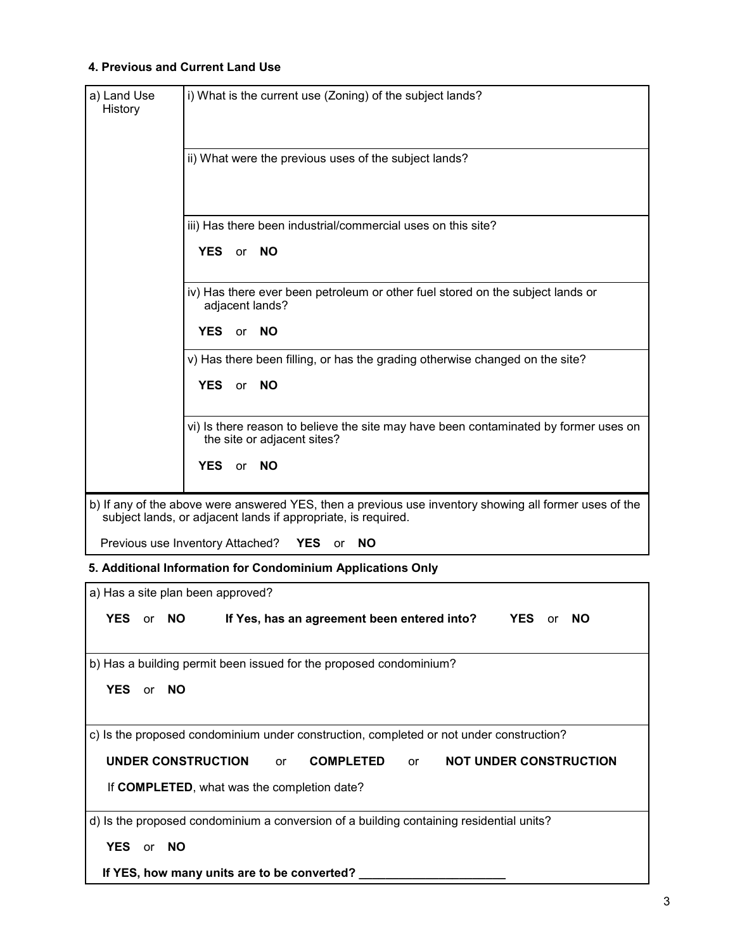### **4. Previous and Current Land Use**

| a) Land Use<br>History            | i) What is the current use (Zoning) of the subject lands?                                                                                                               |
|-----------------------------------|-------------------------------------------------------------------------------------------------------------------------------------------------------------------------|
|                                   |                                                                                                                                                                         |
|                                   | ii) What were the previous uses of the subject lands?                                                                                                                   |
|                                   |                                                                                                                                                                         |
|                                   | iii) Has there been industrial/commercial uses on this site?                                                                                                            |
|                                   | YES or NO                                                                                                                                                               |
|                                   | iv) Has there ever been petroleum or other fuel stored on the subject lands or<br>adjacent lands?                                                                       |
|                                   | <b>YES</b><br>or NO                                                                                                                                                     |
|                                   | v) Has there been filling, or has the grading otherwise changed on the site?                                                                                            |
|                                   | <b>YES</b><br>or NO                                                                                                                                                     |
|                                   | vi) Is there reason to believe the site may have been contaminated by former uses on<br>the site or adjacent sites?                                                     |
|                                   | YES or NO                                                                                                                                                               |
|                                   | b) If any of the above were answered YES, then a previous use inventory showing all former uses of the<br>subject lands, or adjacent lands if appropriate, is required. |
|                                   | Previous use Inventory Attached?<br><b>YES</b><br><b>NO</b><br>or                                                                                                       |
|                                   | 5. Additional Information for Condominium Applications Only                                                                                                             |
| a) Has a site plan been approved? |                                                                                                                                                                         |
| YES or NO                         | If Yes, has an agreement been entered into?<br><b>YES</b><br>NΩ<br>or                                                                                                   |
|                                   | b) Has a building permit been issued for the proposed condominium?                                                                                                      |
| <b>YES</b><br><b>NO</b><br>or     |                                                                                                                                                                         |
|                                   | c) Is the proposed condominium under construction, completed or not under construction?                                                                                 |
| <b>UNDER CONSTRUCTION</b>         | <b>COMPLETED</b><br><b>NOT UNDER CONSTRUCTION</b><br>or<br>or                                                                                                           |
|                                   | If COMPLETED, what was the completion date?                                                                                                                             |
|                                   | d) Is the proposed condominium a conversion of a building containing residential units?                                                                                 |
| <b>YES</b><br><b>NO</b><br>or     |                                                                                                                                                                         |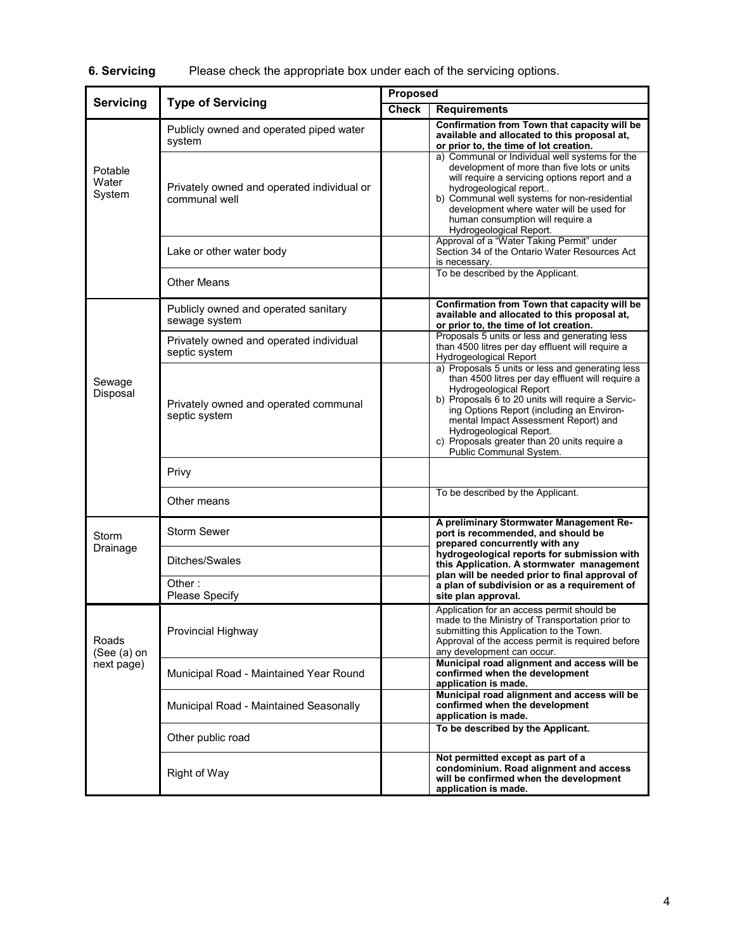|                            |                                                             | Proposed |                                                                                                                                                                                                                                                                                                                                                                                |  |  |
|----------------------------|-------------------------------------------------------------|----------|--------------------------------------------------------------------------------------------------------------------------------------------------------------------------------------------------------------------------------------------------------------------------------------------------------------------------------------------------------------------------------|--|--|
| <b>Servicing</b>           | <b>Type of Servicing</b>                                    |          | <b>Requirements</b>                                                                                                                                                                                                                                                                                                                                                            |  |  |
|                            | Publicly owned and operated piped water<br>system           |          | Confirmation from Town that capacity will be<br>available and allocated to this proposal at,<br>or prior to, the time of lot creation.                                                                                                                                                                                                                                         |  |  |
| Potable<br>Water<br>System | Privately owned and operated individual or<br>communal well |          | a) Communal or Individual well systems for the<br>development of more than five lots or units<br>will require a servicing options report and a<br>hydrogeological report<br>b) Communal well systems for non-residential<br>development where water will be used for<br>human consumption will require a<br>Hydrogeological Report.                                            |  |  |
|                            | Lake or other water body                                    |          | Approval of a "Water Taking Permit" under<br>Section 34 of the Ontario Water Resources Act<br>is necessary.                                                                                                                                                                                                                                                                    |  |  |
|                            | <b>Other Means</b>                                          |          | To be described by the Applicant.                                                                                                                                                                                                                                                                                                                                              |  |  |
|                            | Publicly owned and operated sanitary<br>sewage system       |          | Confirmation from Town that capacity will be<br>available and allocated to this proposal at,<br>or prior to, the time of lot creation.                                                                                                                                                                                                                                         |  |  |
|                            | Privately owned and operated individual<br>septic system    |          | Proposals 5 units or less and generating less<br>than 4500 litres per day effluent will require a<br>Hydrogeological Report                                                                                                                                                                                                                                                    |  |  |
| Sewage<br>Disposal         | Privately owned and operated communal<br>septic system      |          | a) Proposals 5 units or less and generating less<br>than 4500 litres per day effluent will require a<br>Hydrogeological Report<br>b) Proposals 6 to 20 units will require a Servic-<br>ing Options Report (including an Environ-<br>mental Impact Assessment Report) and<br>Hydrogeological Report.<br>c) Proposals greater than 20 units require a<br>Public Communal System. |  |  |
|                            | Privy                                                       |          |                                                                                                                                                                                                                                                                                                                                                                                |  |  |
|                            | Other means                                                 |          | To be described by the Applicant.                                                                                                                                                                                                                                                                                                                                              |  |  |
| Storm                      | <b>Storm Sewer</b>                                          |          | A preliminary Stormwater Management Re-<br>port is recommended, and should be<br>prepared concurrently with any                                                                                                                                                                                                                                                                |  |  |
| Drainage                   | Ditches/Swales                                              |          | hydrogeological reports for submission with<br>this Application. A stormwater management<br>plan will be needed prior to final approval of                                                                                                                                                                                                                                     |  |  |
|                            | Other:<br>Please Specify                                    |          | a plan of subdivision or as a requirement of<br>site plan approval.                                                                                                                                                                                                                                                                                                            |  |  |
| Roads<br>(See (a) on       | Provincial Highway                                          |          | Application for an access permit should be<br>made to the Ministry of Transportation prior to<br>submitting this Application to the Town.<br>Approval of the access permit is required before<br>any development can occur.                                                                                                                                                    |  |  |
| next page)                 | Municipal Road - Maintained Year Round                      |          | Municipal road alignment and access will be<br>confirmed when the development<br>application is made.                                                                                                                                                                                                                                                                          |  |  |
|                            | Municipal Road - Maintained Seasonally                      |          | Municipal road alignment and access will be<br>confirmed when the development<br>application is made.                                                                                                                                                                                                                                                                          |  |  |
|                            | Other public road                                           |          | To be described by the Applicant.                                                                                                                                                                                                                                                                                                                                              |  |  |
|                            | <b>Right of Way</b>                                         |          | Not permitted except as part of a<br>condominium. Road alignment and access<br>will be confirmed when the development<br>application is made.                                                                                                                                                                                                                                  |  |  |

# **6. Servicing** Please check the appropriate box under each of the servicing options.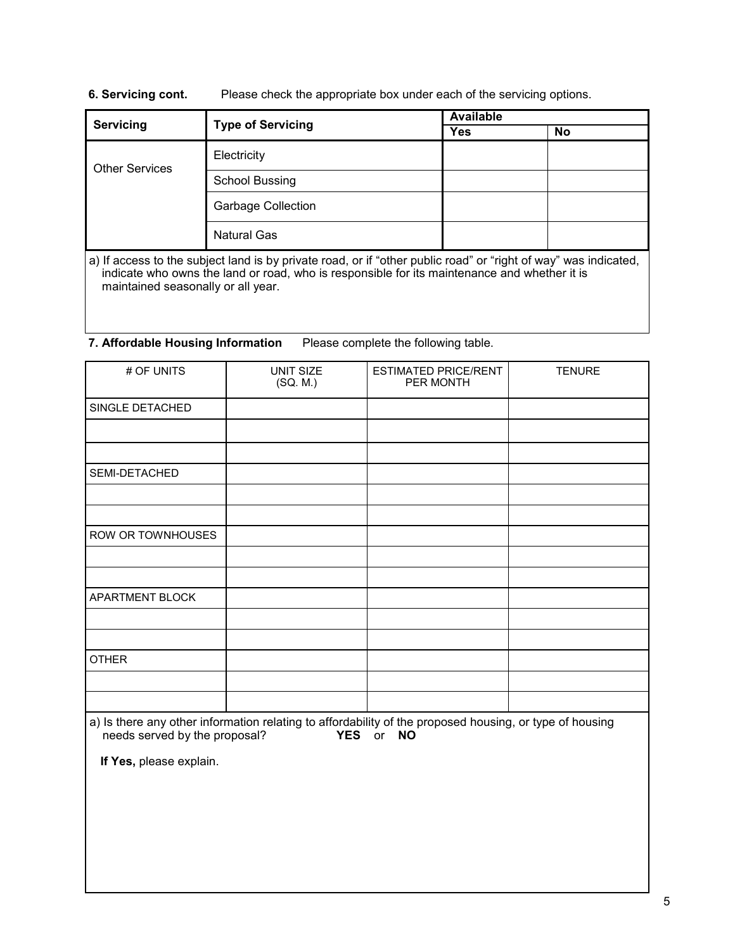### **6. Servicing cont.** Please check the appropriate box under each of the servicing options.

| Servicing             |                           | <b>Available</b> |    |  |
|-----------------------|---------------------------|------------------|----|--|
|                       | <b>Type of Servicing</b>  | <b>Yes</b>       | No |  |
| <b>Other Services</b> | Electricity               |                  |    |  |
|                       | <b>School Bussing</b>     |                  |    |  |
|                       | <b>Garbage Collection</b> |                  |    |  |
|                       | <b>Natural Gas</b>        |                  |    |  |

a) If access to the subject land is by private road, or if "other public road" or "right of way" was indicated, indicate who owns the land or road, who is responsible for its maintenance and whether it is maintained seasonally or all year.

### **7. Affordable Housing Information** Please complete the following table.

| # OF UNITS                                                                                              | UNIT SIZE<br>(SQ. M.) | <b>ESTIMATED PRICE/RENT</b><br>PER MONTH | <b>TENURE</b> |  |
|---------------------------------------------------------------------------------------------------------|-----------------------|------------------------------------------|---------------|--|
| SINGLE DETACHED                                                                                         |                       |                                          |               |  |
|                                                                                                         |                       |                                          |               |  |
|                                                                                                         |                       |                                          |               |  |
| SEMI-DETACHED                                                                                           |                       |                                          |               |  |
|                                                                                                         |                       |                                          |               |  |
|                                                                                                         |                       |                                          |               |  |
| ROW OR TOWNHOUSES                                                                                       |                       |                                          |               |  |
|                                                                                                         |                       |                                          |               |  |
|                                                                                                         |                       |                                          |               |  |
| APARTMENT BLOCK                                                                                         |                       |                                          |               |  |
|                                                                                                         |                       |                                          |               |  |
|                                                                                                         |                       |                                          |               |  |
| <b>OTHER</b>                                                                                            |                       |                                          |               |  |
|                                                                                                         |                       |                                          |               |  |
|                                                                                                         |                       |                                          |               |  |
| a) Is there any other information relating to affordability of the proposed housing, or type of housing |                       |                                          |               |  |

needs served by the proposal? **YES** or **NO**

**If Yes,** please explain.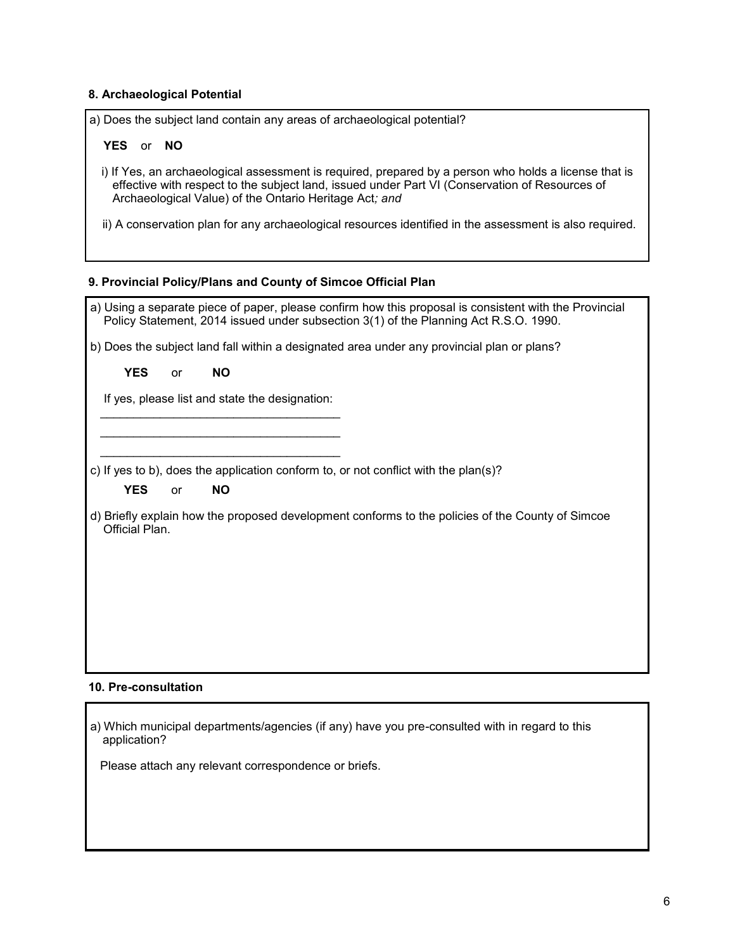### **8. Archaeological Potential**

| a) Does the subject land contain any areas of archaeological potential? |
|-------------------------------------------------------------------------|
|-------------------------------------------------------------------------|

### **YES** or **NO**

- i) If Yes, an archaeological assessment is required, prepared by a person who holds a license that is effective with respect to the subject land, issued under Part VI (Conservation of Resources of Archaeological Value) of the Ontario Heritage Act*; and*
- ii) A conservation plan for any archaeological resources identified in the assessment is also required.

### **9. Provincial Policy/Plans and County of Simcoe Official Plan**

| a) Using a separate piece of paper, please confirm how this proposal is consistent with the Provincial<br>Policy Statement, 2014 issued under subsection 3(1) of the Planning Act R.S.O. 1990. |
|------------------------------------------------------------------------------------------------------------------------------------------------------------------------------------------------|
| b) Does the subject land fall within a designated area under any provincial plan or plans?                                                                                                     |
| <b>YES</b><br><b>NO</b><br><b>or</b>                                                                                                                                                           |
| If yes, please list and state the designation:                                                                                                                                                 |
|                                                                                                                                                                                                |
|                                                                                                                                                                                                |
| c) If yes to b), does the application conform to, or not conflict with the plan(s)?                                                                                                            |
| <b>YES</b><br><b>NO</b><br>or                                                                                                                                                                  |
| d) Briefly explain how the proposed development conforms to the policies of the County of Simcoe<br>Official Plan.                                                                             |
|                                                                                                                                                                                                |
|                                                                                                                                                                                                |
|                                                                                                                                                                                                |
|                                                                                                                                                                                                |
|                                                                                                                                                                                                |
| 10. Pre-consultation                                                                                                                                                                           |

a) Which municipal departments/agencies (if any) have you pre-consulted with in regard to this application?

Please attach any relevant correspondence or briefs.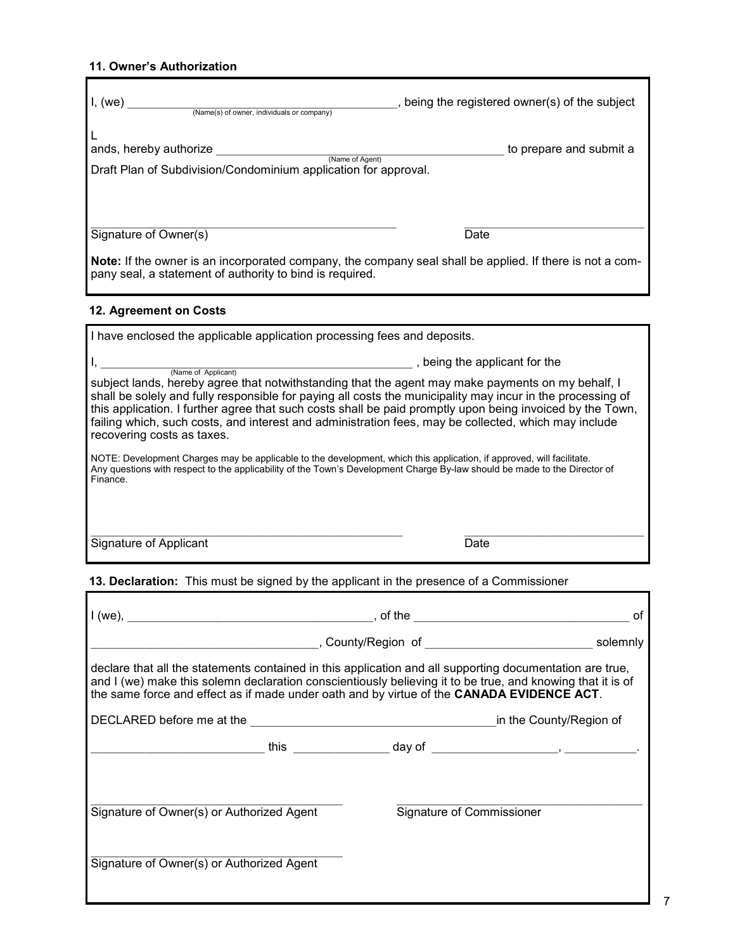### **11. Owner's Authorization**

| I, (we)<br>(Name(s) of owner, individuals or company)                                                                                                                                                | , being the registered owner(s) of the subject |
|------------------------------------------------------------------------------------------------------------------------------------------------------------------------------------------------------|------------------------------------------------|
| ands, hereby authorize<br>(Name of Agent)<br>Draft Plan of Subdivision/Condominium application for approval.                                                                                         | to prepare and submit a                        |
| Signature of Owner(s)<br><b>Note:</b> If the owner is an incorporated company, the company seal shall be applied. If there is not a com-<br>pany seal, a statement of authority to bind is required. | Date                                           |
| 12. Agreement on Costs                                                                                                                                                                               |                                                |
| I have enclosed the applicable application processing fees and deposits.                                                                                                                             |                                                |

| (Name of Applicant)                                                                                                                                                                                                                                                                                                                                                                                                                                                | , being the applicant for the |
|--------------------------------------------------------------------------------------------------------------------------------------------------------------------------------------------------------------------------------------------------------------------------------------------------------------------------------------------------------------------------------------------------------------------------------------------------------------------|-------------------------------|
| subject lands, hereby agree that notwithstanding that the agent may make payments on my behalf, I<br>shall be solely and fully responsible for paying all costs the municipality may incur in the processing of<br>this application. I further agree that such costs shall be paid promptly upon being invoiced by the Town,<br>failing which, such costs, and interest and administration fees, may be collected, which may include<br>recovering costs as taxes. |                               |
| NOTE: Development Charges may be applicable to the development, which this application, if approved, will facilitate.<br>Any questions with respect to the applicability of the Town's Development Charge By-law should be made to the Director of<br>Finance.                                                                                                                                                                                                     |                               |
| Signature of Applicant                                                                                                                                                                                                                                                                                                                                                                                                                                             | Date                          |

# **13. Declaration:** This must be signed by the applicant in the presence of a Commissioner

|                                                                                                                                                                                                                                                                                                                     | οf                        |
|---------------------------------------------------------------------------------------------------------------------------------------------------------------------------------------------------------------------------------------------------------------------------------------------------------------------|---------------------------|
|                                                                                                                                                                                                                                                                                                                     |                           |
| declare that all the statements contained in this application and all supporting documentation are true,<br>and I (we) make this solemn declaration conscientiously believing it to be true, and knowing that it is of<br>the same force and effect as if made under oath and by virtue of the CANADA EVIDENCE ACT. |                           |
| DECLARED before me at the <b>Example 2018</b> and the County/Region of                                                                                                                                                                                                                                              |                           |
|                                                                                                                                                                                                                                                                                                                     |                           |
| Signature of Owner(s) or Authorized Agent                                                                                                                                                                                                                                                                           | Signature of Commissioner |
| Signature of Owner(s) or Authorized Agent                                                                                                                                                                                                                                                                           |                           |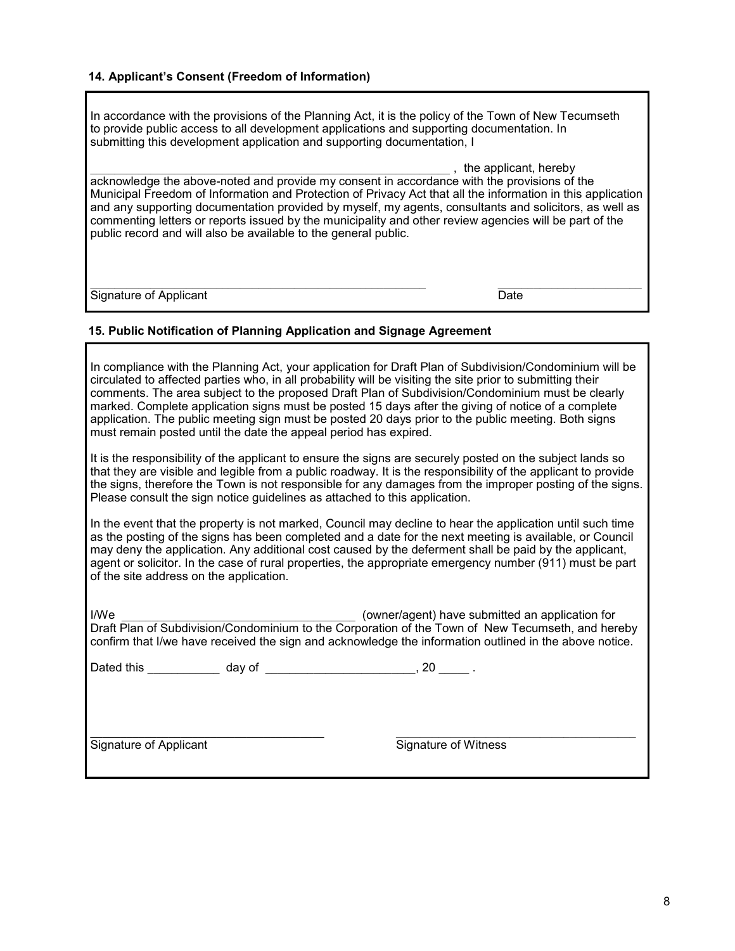### **14. Applicant's Consent (Freedom of Information)**

In accordance with the provisions of the Planning Act, it is the policy of the Town of New Tecumseth to provide public access to all development applications and supporting documentation. In submitting this development application and supporting documentation, I

\_\_\_\_\_\_\_\_\_\_\_\_\_\_\_\_\_\_\_\_\_\_\_\_\_\_\_\_\_\_\_\_\_\_\_\_\_\_\_\_\_\_\_\_\_\_\_\_\_\_\_\_\_\_\_\_\_\_\_\_ , the applicant, hereby acknowledge the above-noted and provide my consent in accordance with the provisions of the Municipal Freedom of Information and Protection of Privacy Act that all the information in this application and any supporting documentation provided by myself, my agents, consultants and solicitors, as well as commenting letters or reports issued by the municipality and other review agencies will be part of the public record and will also be available to the general public.

 $\mathcal{L}_\mathcal{L} = \mathcal{L}_\mathcal{L} = \mathcal{L}_\mathcal{L} = \mathcal{L}_\mathcal{L} = \mathcal{L}_\mathcal{L} = \mathcal{L}_\mathcal{L} = \mathcal{L}_\mathcal{L} = \mathcal{L}_\mathcal{L} = \mathcal{L}_\mathcal{L} = \mathcal{L}_\mathcal{L} = \mathcal{L}_\mathcal{L} = \mathcal{L}_\mathcal{L} = \mathcal{L}_\mathcal{L} = \mathcal{L}_\mathcal{L} = \mathcal{L}_\mathcal{L} = \mathcal{L}_\mathcal{L} = \mathcal{L}_\mathcal{L}$ Signature of Applicant Date Date Date Date Date

### **15. Public Notification of Planning Application and Signage Agreement**

In compliance with the Planning Act, your application for Draft Plan of Subdivision/Condominium will be circulated to affected parties who, in all probability will be visiting the site prior to submitting their comments. The area subject to the proposed Draft Plan of Subdivision/Condominium must be clearly marked. Complete application signs must be posted 15 days after the giving of notice of a complete application. The public meeting sign must be posted 20 days prior to the public meeting. Both signs must remain posted until the date the appeal period has expired.

It is the responsibility of the applicant to ensure the signs are securely posted on the subject lands so that they are visible and legible from a public roadway. It is the responsibility of the applicant to provide the signs, therefore the Town is not responsible for any damages from the improper posting of the signs. Please consult the sign notice guidelines as attached to this application.

In the event that the property is not marked, Council may decline to hear the application until such time as the posting of the signs has been completed and a date for the next meeting is available, or Council may deny the application. Any additional cost caused by the deferment shall be paid by the applicant, agent or solicitor. In the case of rural properties, the appropriate emergency number (911) must be part of the site address on the application.

I/We **I/We I/We** and the submitted an application for Draft Plan of Subdivision/Condominium to the Corporation of the Town of New Tecumseth, and hereby confirm that I/we have received the sign and acknowledge the information outlined in the above notice.

Dated this \_\_\_\_\_\_\_\_\_\_\_\_\_ day of \_\_\_\_\_\_\_\_\_\_\_\_\_\_\_\_\_\_\_\_\_\_\_\_, 20 \_\_\_\_\_ .

Signature of Applicant Signature of Witness

**\_\_\_\_\_\_\_\_\_\_\_\_\_\_\_\_\_\_\_\_\_\_\_\_\_\_\_\_\_\_\_\_\_\_\_\_\_\_\_** \_\_\_\_\_\_\_\_\_\_\_\_\_\_\_\_\_\_\_\_\_\_\_\_\_\_\_\_\_\_\_\_\_\_\_\_\_\_\_\_